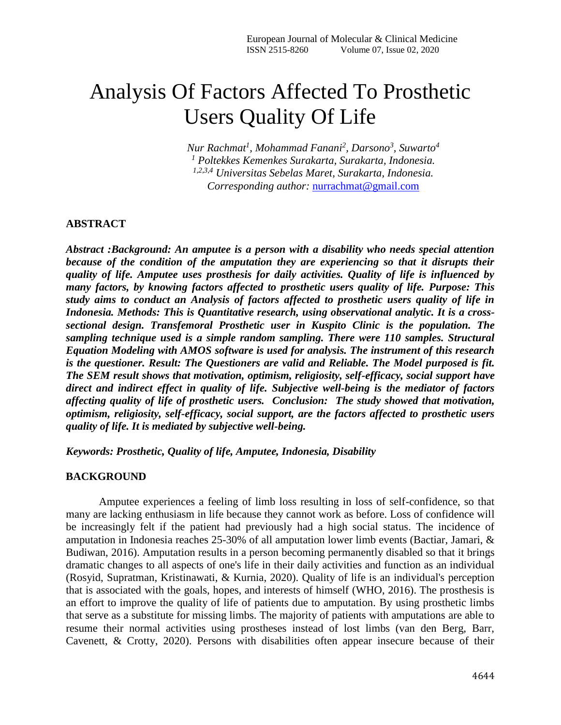# Analysis Of Factors Affected To Prosthetic Users Quality Of Life

*Nur Rachmat<sup>1</sup> , Mohammad Fanani<sup>2</sup> , Darsono<sup>3</sup> , Suwarto<sup>4</sup> <sup>1</sup> Poltekkes Kemenkes Surakarta, Surakarta, Indonesia. 1,2,3,4 Universitas Sebelas Maret, Surakarta, Indonesia. Corresponding author:* [nurrachmat@gmail.com](mailto:nurrachmat@gmail.com)

#### **ABSTRACT**

*Abstract :Background: An amputee is a person with a disability who needs special attention because of the condition of the amputation they are experiencing so that it disrupts their quality of life. Amputee uses prosthesis for daily activities. Quality of life is influenced by many factors, by knowing factors affected to prosthetic users quality of life. Purpose: This study aims to conduct an Analysis of factors affected to prosthetic users quality of life in Indonesia. Methods: This is Quantitative research, using observational analytic. It is a crosssectional design. Transfemoral Prosthetic user in Kuspito Clinic is the population. The sampling technique used is a simple random sampling. There were 110 samples. Structural Equation Modeling with AMOS software is used for analysis. The instrument of this research is the questioner. Result: The Questioners are valid and Reliable. The Model purposed is fit. The SEM result shows that motivation, optimism, religiosity, self-efficacy, social support have direct and indirect effect in quality of life. Subjective well-being is the mediator of factors affecting quality of life of prosthetic users. Conclusion: The study showed that motivation, optimism, religiosity, self-efficacy, social support, are the factors affected to prosthetic users quality of life. It is mediated by subjective well-being.*

*Keywords: Prosthetic, Quality of life, Amputee, Indonesia, Disability*

#### **BACKGROUND**

Amputee experiences a feeling of limb loss resulting in loss of self-confidence, so that many are lacking enthusiasm in life because they cannot work as before. Loss of confidence will be increasingly felt if the patient had previously had a high social status. The incidence of amputation in Indonesia reaches 25-30% of all amputation lower limb events (Bactiar, Jamari, & Budiwan, 2016). Amputation results in a person becoming permanently disabled so that it brings dramatic changes to all aspects of one's life in their daily activities and function as an individual (Rosyid, Supratman, Kristinawati, & Kurnia, 2020). Quality of life is an individual's perception that is associated with the goals, hopes, and interests of himself (WHO, 2016). The prosthesis is an effort to improve the quality of life of patients due to amputation. By using prosthetic limbs that serve as a substitute for missing limbs. The majority of patients with amputations are able to resume their normal activities using prostheses instead of lost limbs (van den Berg, Barr, Cavenett, & Crotty, 2020). Persons with disabilities often appear insecure because of their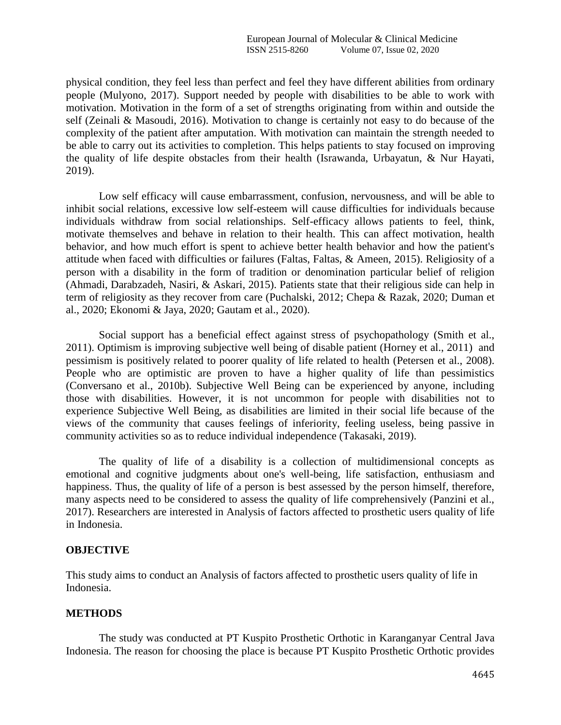physical condition, they feel less than perfect and feel they have different abilities from ordinary people (Mulyono, 2017). Support needed by people with disabilities to be able to work with motivation. Motivation in the form of a set of strengths originating from within and outside the self (Zeinali & Masoudi, 2016). Motivation to change is certainly not easy to do because of the complexity of the patient after amputation. With motivation can maintain the strength needed to be able to carry out its activities to completion. This helps patients to stay focused on improving the quality of life despite obstacles from their health (Israwanda, Urbayatun, & Nur Hayati, 2019).

Low self efficacy will cause embarrassment, confusion, nervousness, and will be able to inhibit social relations, excessive low self-esteem will cause difficulties for individuals because individuals withdraw from social relationships. Self-efficacy allows patients to feel, think, motivate themselves and behave in relation to their health. This can affect motivation, health behavior, and how much effort is spent to achieve better health behavior and how the patient's attitude when faced with difficulties or failures (Faltas, Faltas, & Ameen, 2015). Religiosity of a person with a disability in the form of tradition or denomination particular belief of religion (Ahmadi, Darabzadeh, Nasiri, & Askari, 2015). Patients state that their religious side can help in term of religiosity as they recover from care (Puchalski, 2012; Chepa & Razak, 2020; Duman et al., 2020; Ekonomi & Jaya, 2020; Gautam et al., 2020).

Social support has a beneficial effect against stress of psychopathology (Smith et al., 2011). Optimism is improving subjective well being of disable patient (Horney et al., 2011) and pessimism is positively related to poorer quality of life related to health (Petersen et al., 2008). People who are optimistic are proven to have a higher quality of life than pessimistics (Conversano et al., 2010b). Subjective Well Being can be experienced by anyone, including those with disabilities. However, it is not uncommon for people with disabilities not to experience Subjective Well Being, as disabilities are limited in their social life because of the views of the community that causes feelings of inferiority, feeling useless, being passive in community activities so as to reduce individual independence (Takasaki, 2019).

The quality of life of a disability is a collection of multidimensional concepts as emotional and cognitive judgments about one's well-being, life satisfaction, enthusiasm and happiness. Thus, the quality of life of a person is best assessed by the person himself, therefore, many aspects need to be considered to assess the quality of life comprehensively (Panzini et al., 2017). Researchers are interested in Analysis of factors affected to prosthetic users quality of life in Indonesia.

#### **OBJECTIVE**

This study aims to conduct an Analysis of factors affected to prosthetic users quality of life in Indonesia.

## **METHODS**

The study was conducted at PT Kuspito Prosthetic Orthotic in Karanganyar Central Java Indonesia. The reason for choosing the place is because PT Kuspito Prosthetic Orthotic provides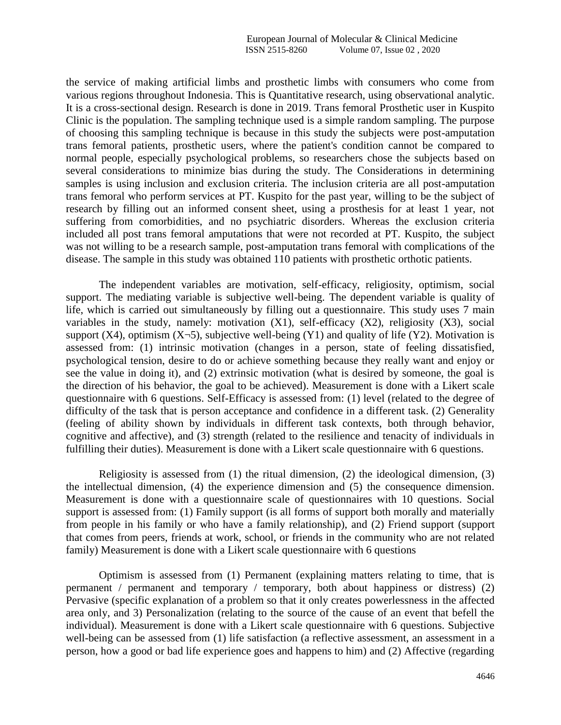the service of making artificial limbs and prosthetic limbs with consumers who come from various regions throughout Indonesia. This is Quantitative research, using observational analytic. It is a cross-sectional design. Research is done in 2019. Trans femoral Prosthetic user in Kuspito Clinic is the population. The sampling technique used is a simple random sampling. The purpose of choosing this sampling technique is because in this study the subjects were post-amputation trans femoral patients, prosthetic users, where the patient's condition cannot be compared to normal people, especially psychological problems, so researchers chose the subjects based on several considerations to minimize bias during the study. The Considerations in determining samples is using inclusion and exclusion criteria. The inclusion criteria are all post-amputation trans femoral who perform services at PT. Kuspito for the past year, willing to be the subject of research by filling out an informed consent sheet, using a prosthesis for at least 1 year, not suffering from comorbidities, and no psychiatric disorders. Whereas the exclusion criteria included all post trans femoral amputations that were not recorded at PT. Kuspito, the subject was not willing to be a research sample, post-amputation trans femoral with complications of the disease. The sample in this study was obtained 110 patients with prosthetic orthotic patients.

The independent variables are motivation, self-efficacy, religiosity, optimism, social support. The mediating variable is subjective well-being. The dependent variable is quality of life, which is carried out simultaneously by filling out a questionnaire. This study uses 7 main variables in the study, namely: motivation (X1), self-efficacy (X2), religiosity (X3), social support (X4), optimism (X $\neg$ 5), subjective well-being (Y1) and quality of life (Y2). Motivation is assessed from: (1) intrinsic motivation (changes in a person, state of feeling dissatisfied, psychological tension, desire to do or achieve something because they really want and enjoy or see the value in doing it), and (2) extrinsic motivation (what is desired by someone, the goal is the direction of his behavior, the goal to be achieved). Measurement is done with a Likert scale questionnaire with 6 questions. Self-Efficacy is assessed from: (1) level (related to the degree of difficulty of the task that is person acceptance and confidence in a different task. (2) Generality (feeling of ability shown by individuals in different task contexts, both through behavior, cognitive and affective), and (3) strength (related to the resilience and tenacity of individuals in fulfilling their duties). Measurement is done with a Likert scale questionnaire with 6 questions.

Religiosity is assessed from  $(1)$  the ritual dimension,  $(2)$  the ideological dimension,  $(3)$ the intellectual dimension, (4) the experience dimension and (5) the consequence dimension. Measurement is done with a questionnaire scale of questionnaires with 10 questions. Social support is assessed from: (1) Family support (is all forms of support both morally and materially from people in his family or who have a family relationship), and (2) Friend support (support that comes from peers, friends at work, school, or friends in the community who are not related family) Measurement is done with a Likert scale questionnaire with 6 questions

Optimism is assessed from (1) Permanent (explaining matters relating to time, that is permanent / permanent and temporary / temporary, both about happiness or distress) (2) Pervasive (specific explanation of a problem so that it only creates powerlessness in the affected area only, and 3) Personalization (relating to the source of the cause of an event that befell the individual). Measurement is done with a Likert scale questionnaire with 6 questions. Subjective well-being can be assessed from (1) life satisfaction (a reflective assessment, an assessment in a person, how a good or bad life experience goes and happens to him) and (2) Affective (regarding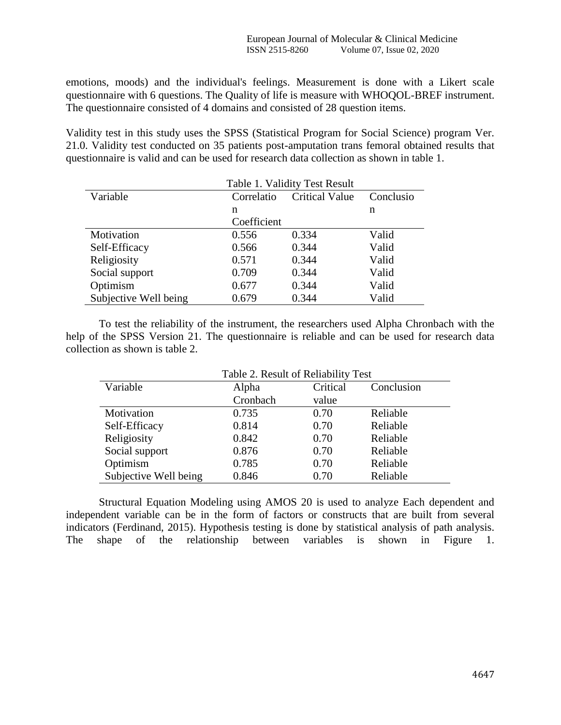emotions, moods) and the individual's feelings. Measurement is done with a Likert scale questionnaire with 6 questions. The Quality of life is measure with WHOQOL-BREF instrument. The questionnaire consisted of 4 domains and consisted of 28 question items.

Validity test in this study uses the SPSS (Statistical Program for Social Science) program Ver. 21.0. Validity test conducted on 35 patients post-amputation trans femoral obtained results that questionnaire is valid and can be used for research data collection as shown in table 1.

|                       | Table 1. Validity Test Result |           |       |  |  |
|-----------------------|-------------------------------|-----------|-------|--|--|
| Variable              | Correlatio                    | Conclusio |       |  |  |
|                       | n                             |           | n     |  |  |
|                       | Coefficient                   |           |       |  |  |
| Motivation            | 0.556                         | 0.334     | Valid |  |  |
| Self-Efficacy         | 0.566                         | 0.344     | Valid |  |  |
| Religiosity           | 0.571                         | 0.344     | Valid |  |  |
| Social support        | 0.709                         | 0.344     | Valid |  |  |
| Optimism              | 0.677                         | 0.344     | Valid |  |  |
| Subjective Well being | 0.679                         | 0.344     | Valid |  |  |

To test the reliability of the instrument, the researchers used Alpha Chronbach with the help of the SPSS Version 21. The questionnaire is reliable and can be used for research data collection as shown is table 2.

|                       | Table 2. Result of Reliability Test |          |          |  |  |  |
|-----------------------|-------------------------------------|----------|----------|--|--|--|
| Variable              | Alpha                               | Critical |          |  |  |  |
|                       | Cronbach                            | value    |          |  |  |  |
| Motivation            | 0.735                               | 0.70     | Reliable |  |  |  |
| Self-Efficacy         | 0.814                               | 0.70     | Reliable |  |  |  |
| Religiosity           | 0.842                               | 0.70     | Reliable |  |  |  |
| Social support        | 0.876                               | 0.70     | Reliable |  |  |  |
| Optimism              | 0.785                               | 0.70     | Reliable |  |  |  |
| Subjective Well being | 0.846                               | 0.70     | Reliable |  |  |  |

Structural Equation Modeling using AMOS 20 is used to analyze Each dependent and independent variable can be in the form of factors or constructs that are built from several indicators (Ferdinand, 2015). Hypothesis testing is done by statistical analysis of path analysis.

The shape of the relationship between variables is shown in Figure 1.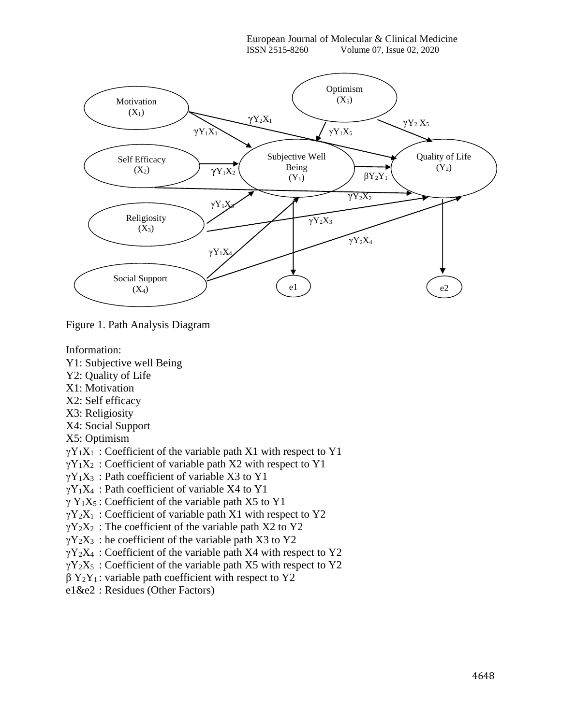

Figure 1. Path Analysis Diagram

Information:

- Y1: Subjective well Being
- Y2: Quality of Life
- X1: Motivation
- X2: Self efficacy
- X3: Religiosity
- X4: Social Support
- X5: Optimism
- $\gamma Y_1X_1$ : Coefficient of the variable path X1 with respect to Y1
- $\gamma Y_1X_2$ : Coefficient of variable path X2 with respect to Y1
- $\gamma$ Y<sub>1</sub>X<sub>3</sub>: Path coefficient of variable X3 to Y1
- $\gamma$ Y<sub>1</sub>X<sub>4</sub>: Path coefficient of variable X4 to Y1
- $\gamma$  Y<sub>1</sub>X<sub>5</sub>: Coefficient of the variable path X5 to Y1
- $\gamma Y_2X_1$ : Coefficient of variable path X1 with respect to Y2
- $\gamma$ Y<sub>2</sub>X<sub>2</sub>: The coefficient of the variable path X2 to Y2
- $\gamma$ Y<sub>2</sub>X<sub>3</sub>: he coefficient of the variable path X3 to Y2
- $\gamma$ Y<sub>2</sub>X<sub>4</sub> : Coefficient of the variable path X4 with respect to Y2
- $\gamma$ Y<sub>2</sub>X<sub>5</sub> : Coefficient of the variable path X5 with respect to Y2
- $\beta$  Y<sub>2</sub>Y<sub>1</sub>: variable path coefficient with respect to Y2
- e1&e2 : Residues (Other Factors)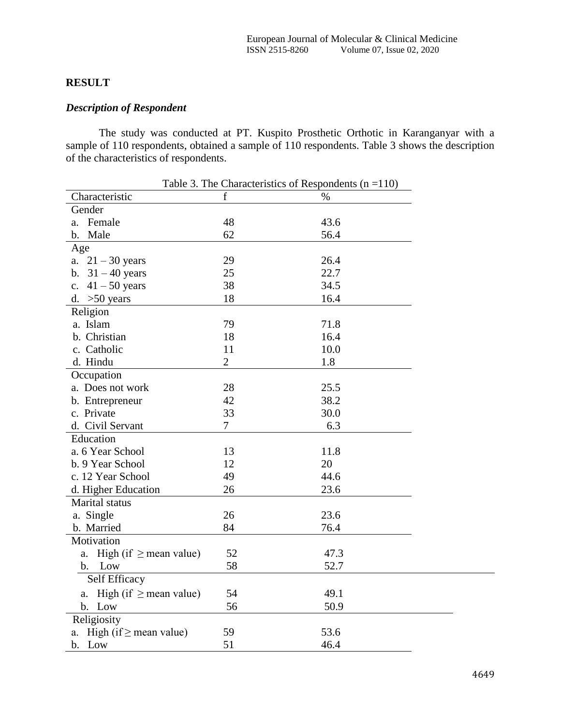# **RESULT**

# *Description of Respondent*

The study was conducted at PT. Kuspito Prosthetic Orthotic in Karanganyar with a sample of 110 respondents, obtained a sample of 110 respondents. Table 3 shows the description of the characteristics of respondents.

| Table 3. The Characteristics of Respondents ( $n = 110$ ) |
|-----------------------------------------------------------|
| f<br>Characteristic<br>$\frac{0}{0}$                      |
| Gender                                                    |
| 48<br>a. Female<br>43.6                                   |
| 62<br>b. Male<br>56.4                                     |
| Age                                                       |
| a. $21 - 30$ years<br>29<br>26.4                          |
| 22.7<br>$31 - 40$ years<br>25<br>$\mathbf b$ .            |
| 38<br>34.5<br>$41 - 50$ years<br>$\mathbf{c}$ .           |
| d. $>50$ years<br>18<br>16.4                              |
| Religion                                                  |
| a. Islam<br>79<br>71.8                                    |
| b. Christian<br>18<br>16.4                                |
| c. Catholic<br>11<br>10.0                                 |
| $\overline{2}$<br>1.8<br>d. Hindu                         |
| Occupation                                                |
| a. Does not work<br>28<br>25.5                            |
| 38.2<br>42<br>b. Entrepreneur                             |
| 33<br>c. Private<br>30.0                                  |
| $\overline{7}$<br>d. Civil Servant<br>6.3                 |
| Education                                                 |
| a. 6 Year School<br>13<br>11.8                            |
| 12<br>20<br>b. 9 Year School                              |
| 49<br>44.6<br>c. 12 Year School                           |
| 26<br>23.6<br>d. Higher Education                         |
| Marital status                                            |
| a. Single<br>26<br>23.6                                   |
| b. Married<br>84<br>76.4                                  |
| Motivation                                                |
| High (if $\geq$ mean value)<br>52<br>47.3<br>a.           |
| 58<br>52.7<br>Low<br>$\mathbf{b}$ .                       |
| Self Efficacy                                             |
| High (if $\geq$ mean value)<br>54<br>49.1<br>a.           |
| 56<br>50.9<br>b. Low                                      |
| Religiosity                                               |
| 59<br>53.6<br>High (if $\geq$ mean value)<br>$a$ .        |
|                                                           |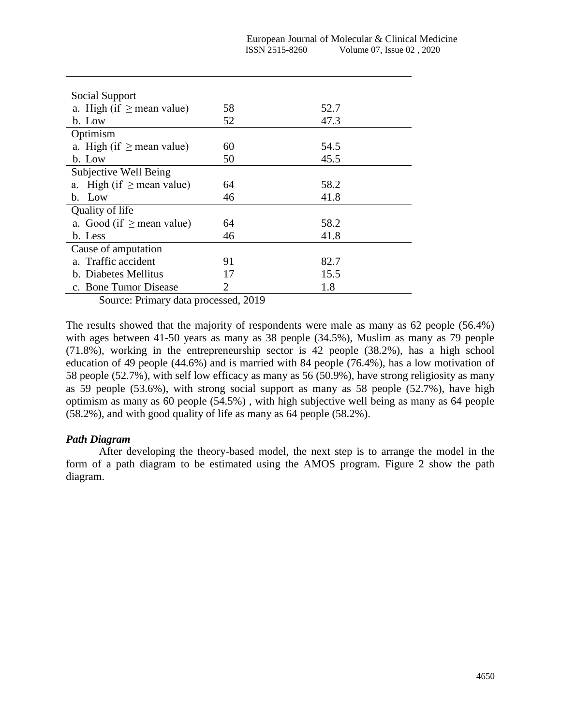| Social Support                    |    |      |
|-----------------------------------|----|------|
| a. High (if $\geq$ mean value)    | 58 | 52.7 |
| b. Low                            | 52 | 47.3 |
| Optimism                          |    |      |
| a. High (if $\geq$ mean value)    | 60 | 54.5 |
| b. Low                            | 50 | 45.5 |
| Subjective Well Being             |    |      |
| High (if $\geq$ mean value)<br>a. | 64 | 58.2 |
| b. Low                            | 46 | 41.8 |
| Quality of life                   |    |      |
| a. Good (if $\geq$ mean value)    | 64 | 58.2 |
| b. Less                           | 46 | 41.8 |
| Cause of amputation               |    |      |
| a. Traffic accident               | 91 | 82.7 |
| b. Diabetes Mellitus              | 17 | 15.5 |
| c. Bone Tumor Disease             | 2  | 1.8  |

Source: Primary data processed, 2019

The results showed that the majority of respondents were male as many as 62 people (56.4%) with ages between 41-50 years as many as 38 people (34.5%), Muslim as many as 79 people (71.8%), working in the entrepreneurship sector is 42 people (38.2%), has a high school education of 49 people (44.6%) and is married with 84 people (76.4%), has a low motivation of 58 people (52.7%), with self low efficacy as many as 56 (50.9%), have strong religiosity as many as 59 people (53.6%), with strong social support as many as 58 people (52.7%), have high optimism as many as 60 people (54.5%) , with high subjective well being as many as 64 people (58.2%), and with good quality of life as many as 64 people (58.2%).

#### *Path Diagram*

After developing the theory-based model, the next step is to arrange the model in the form of a path diagram to be estimated using the AMOS program. Figure 2 show the path diagram.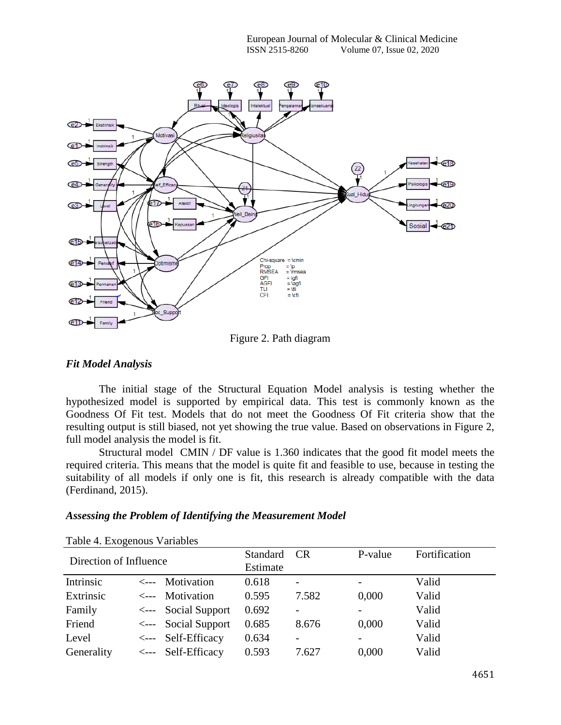

Figure 2. Path diagram

#### *Fit Model Analysis*

The initial stage of the Structural Equation Model analysis is testing whether the hypothesized model is supported by empirical data. This test is commonly known as the Goodness Of Fit test. Models that do not meet the Goodness Of Fit criteria show that the resulting output is still biased, not yet showing the true value. Based on observations in Figure 2, full model analysis the model is fit.

Structural model CMIN / DF value is 1.360 indicates that the good fit model meets the required criteria. This means that the model is quite fit and feasible to use, because in testing the suitability of all models if only one is fit, this research is already compatible with the data (Ferdinand, 2015).

#### *Assessing the Problem of Identifying the Measurement Model*

| Direction of Influence |  | Standard<br>Estimate           | CR    | P-value         | Fortification |       |
|------------------------|--|--------------------------------|-------|-----------------|---------------|-------|
| Intrinsic              |  | $\leftarrow$ Motivation        | 0.618 | $\overline{a}$  |               | Valid |
| Extrinsic              |  | $\leftarrow$ Motivation        | 0.595 | 7.582           | 0,000         | Valid |
| Family                 |  | $\leftarrow$ Social Support    | 0.692 |                 |               | Valid |
| Friend                 |  | $\leftarrow$ Social Support    | 0.685 | 8.676           | 0,000         | Valid |
| Level                  |  | $\leftarrow$ --- Self-Efficacy | 0.634 | $\qquad \qquad$ | -             | Valid |
| Generality             |  | <--- Self-Efficacy             | 0.593 | 7.627           | 0.000         | Valid |

#### Table 4. Exogenous Variables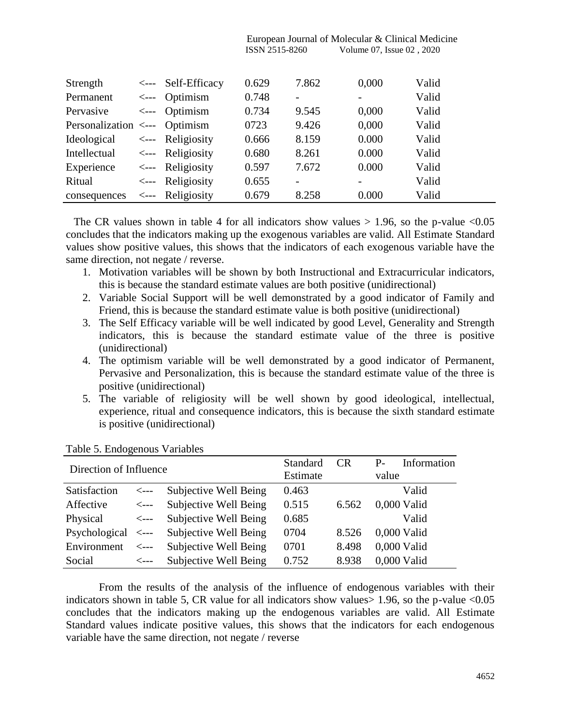|                               |       |                                | ISSN 2515-8260 |                          | Volume 07, Issue 02, 2020 |       |
|-------------------------------|-------|--------------------------------|----------------|--------------------------|---------------------------|-------|
|                               |       |                                |                |                          |                           |       |
| Strength                      |       | $\leftarrow$ --- Self-Efficacy | 0.629          | 7.862                    | 0,000                     | Valid |
| Permanent                     | <---- | Optimism                       | 0.748          | $\overline{\phantom{0}}$ | $\qquad \qquad -$         | Valid |
| Pervasive                     |       | <--- Optimism                  | 0.734          | 9.545                    | 0,000                     | Valid |
| Personalization <--- Optimism |       |                                | 0723           | 9.426                    | 0,000                     | Valid |
| Ideological                   |       | $\leftarrow$ Religiosity       | 0.666          | 8.159                    | 0.000                     | Valid |
| Intellectual                  |       | $\leftarrow$ Religiosity       | 0.680          | 8.261                    | 0.000                     | Valid |
| Experience                    |       | $\leftarrow$ Religiosity       | 0.597          | 7.672                    | 0.000                     | Valid |
| Ritual                        |       | $\leftarrow$ Religiosity       | 0.655          | $\overline{\phantom{0}}$ | -                         | Valid |
| consequences                  | <---  | Religiosity                    | 0.679          | 8.258                    | 0.000                     | Valid |

European Journal of Molecular & Clinical Medicine

The CR values shown in table 4 for all indicators show values  $> 1.96$ , so the p-value <0.05 concludes that the indicators making up the exogenous variables are valid. All Estimate Standard values show positive values, this shows that the indicators of each exogenous variable have the same direction, not negate / reverse.

- 1. Motivation variables will be shown by both Instructional and Extracurricular indicators, this is because the standard estimate values are both positive (unidirectional)
- 2. Variable Social Support will be well demonstrated by a good indicator of Family and Friend, this is because the standard estimate value is both positive (unidirectional)
- 3. The Self Efficacy variable will be well indicated by good Level, Generality and Strength indicators, this is because the standard estimate value of the three is positive (unidirectional)
- 4. The optimism variable will be well demonstrated by a good indicator of Permanent, Pervasive and Personalization, this is because the standard estimate value of the three is positive (unidirectional)
- 5. The variable of religiosity will be well shown by good ideological, intellectual, experience, ritual and consequence indicators, this is because the sixth standard estimate is positive (unidirectional)

| Direction of Influence       |                  |                       | Standard<br>Estimate | <b>CR</b> | $P_{-}$<br>value | Information   |
|------------------------------|------------------|-----------------------|----------------------|-----------|------------------|---------------|
|                              |                  |                       |                      |           |                  |               |
| Satisfaction                 | $\leftarrow$ --- | Subjective Well Being | 0.463                |           |                  | Valid         |
| Affective                    | $\leftarrow$ --- | Subjective Well Being | 0.515                | 6.562     |                  | 0,000 Valid   |
| Physical                     | $\leftarrow$ --- | Subjective Well Being | 0.685                |           |                  | Valid         |
| $Psychological \leftarrow -$ |                  | Subjective Well Being | 0704                 | 8.526     |                  | 0,000 Valid   |
| Environment                  | $\leftarrow$ --- | Subjective Well Being | 0701                 | 8.498     |                  | $0,000$ Valid |
| Social                       | $\leftarrow$ --- | Subjective Well Being | 0.752                | 8.938     |                  | 0,000 Valid   |

Table 5. Endogenous Variables

From the results of the analysis of the influence of endogenous variables with their indicators shown in table 5, CR value for all indicators show values  $> 1.96$ , so the p-value  $< 0.05$ concludes that the indicators making up the endogenous variables are valid. All Estimate Standard values indicate positive values, this shows that the indicators for each endogenous variable have the same direction, not negate / reverse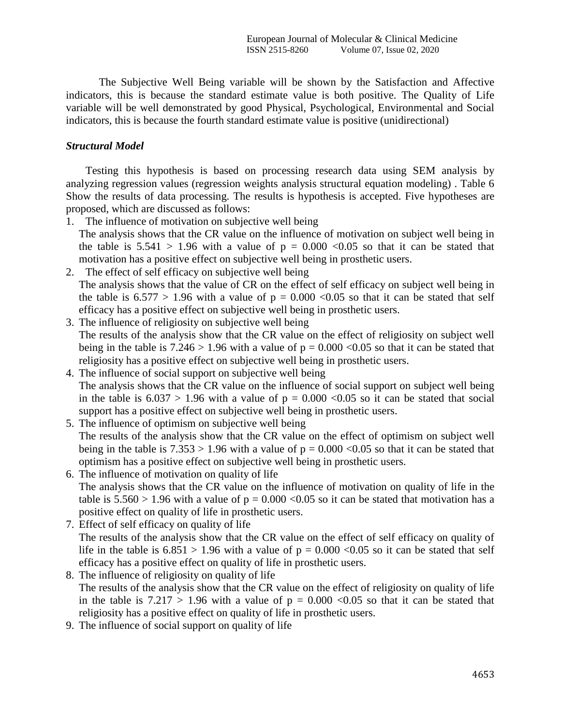The Subjective Well Being variable will be shown by the Satisfaction and Affective indicators, this is because the standard estimate value is both positive. The Quality of Life variable will be well demonstrated by good Physical, Psychological, Environmental and Social indicators, this is because the fourth standard estimate value is positive (unidirectional)

## *Structural Model*

Testing this hypothesis is based on processing research data using SEM analysis by analyzing regression values (regression weights analysis structural equation modeling) . Table 6 Show the results of data processing. The results is hypothesis is accepted. Five hypotheses are proposed, which are discussed as follows:

- 1. The influence of motivation on subjective well being The analysis shows that the CR value on the influence of motivation on subject well being in the table is  $5.541 > 1.96$  with a value of  $p = 0.000 < 0.05$  so that it can be stated that motivation has a positive effect on subjective well being in prosthetic users.
- 2. The effect of self efficacy on subjective well being The analysis shows that the value of CR on the effect of self efficacy on subject well being in the table is  $6.577 > 1.96$  with a value of  $p = 0.000 \le 0.05$  so that it can be stated that self efficacy has a positive effect on subjective well being in prosthetic users.
- 3. The influence of religiosity on subjective well being The results of the analysis show that the CR value on the effect of religiosity on subject well being in the table is  $7.246 > 1.96$  with a value of  $p = 0.000 < 0.05$  so that it can be stated that religiosity has a positive effect on subjective well being in prosthetic users.
- 4. The influence of social support on subjective well being The analysis shows that the CR value on the influence of social support on subject well being in the table is  $6.037 > 1.96$  with a value of  $p = 0.000 < 0.05$  so it can be stated that social support has a positive effect on subjective well being in prosthetic users.
- 5. The influence of optimism on subjective well being The results of the analysis show that the CR value on the effect of optimism on subject well being in the table is  $7.353 > 1.96$  with a value of  $p = 0.000 < 0.05$  so that it can be stated that optimism has a positive effect on subjective well being in prosthetic users.
- 6. The influence of motivation on quality of life The analysis shows that the CR value on the influence of motivation on quality of life in the table is  $5.560 > 1.96$  with a value of  $p = 0.000 < 0.05$  so it can be stated that motivation has a positive effect on quality of life in prosthetic users.
- 7. Effect of self efficacy on quality of life The results of the analysis show that the CR value on the effect of self efficacy on quality of life in the table is  $6.851 > 1.96$  with a value of  $p = 0.000 < 0.05$  so it can be stated that self efficacy has a positive effect on quality of life in prosthetic users.
- 8. The influence of religiosity on quality of life The results of the analysis show that the CR value on the effect of religiosity on quality of life in the table is  $7.217 > 1.96$  with a value of  $p = 0.000 < 0.05$  so that it can be stated that religiosity has a positive effect on quality of life in prosthetic users.
- 9. The influence of social support on quality of life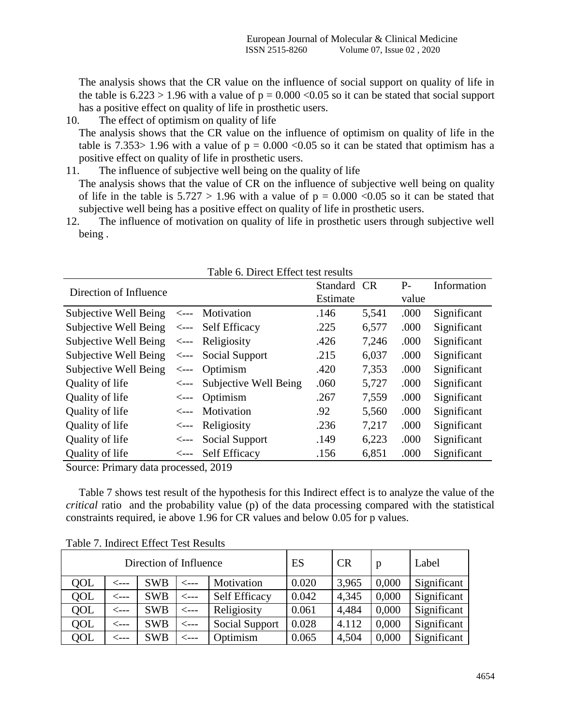The analysis shows that the CR value on the influence of social support on quality of life in the table is  $6.223 > 1.96$  with a value of  $p = 0.000 < 0.05$  so it can be stated that social support has a positive effect on quality of life in prosthetic users.

#### 10. The effect of optimism on quality of life

The analysis shows that the CR value on the influence of optimism on quality of life in the table is 7.353> 1.96 with a value of  $p = 0.000 \le 0.05$  so it can be stated that optimism has a positive effect on quality of life in prosthetic users.

- 11. The influence of subjective well being on the quality of life The analysis shows that the value of CR on the influence of subjective well being on quality of life in the table is  $5.727 > 1.96$  with a value of  $p = 0.000 < 0.05$  so it can be stated that subjective well being has a positive effect on quality of life in prosthetic users.
- 12. The influence of motivation on quality of life in prosthetic users through subjective well being .

| Table 0. Diffect Effect test results |                  |                             |          |           |       |             |
|--------------------------------------|------------------|-----------------------------|----------|-----------|-------|-------------|
| Direction of Influence               |                  |                             | Standard | <b>CR</b> | $P-$  | Information |
|                                      |                  |                             | Estimate |           | value |             |
| Subjective Well Being                |                  | <--- Motivation             | .146     | 5,541     | .000  | Significant |
| Subjective Well Being                |                  | $\leftarrow$ Self Efficacy  | .225     | 6,577     | .000  | Significant |
| Subjective Well Being                | $\leftarrow$     | Religiosity                 | .426     | 7,246     | .000  | Significant |
| Subjective Well Being                |                  | $\leftarrow$ Social Support | .215     | 6,037     | .000  | Significant |
| Subjective Well Being                | $\leftarrow$ --- | Optimism                    | .420     | 7,353     | .000  | Significant |
| Quality of life                      | $\leftarrow$ --- | Subjective Well Being       | .060     | 5,727     | .000  | Significant |
| Quality of life                      |                  | $\leftarrow$ Optimism       | .267     | 7,559     | .000  | Significant |
| Quality of life                      | <b>&lt;---</b>   | Motivation                  | .92      | 5,560     | .000  | Significant |
| Quality of life                      | <---             | Religiosity                 | .236     | 7,217     | .000  | Significant |
| Quality of life                      | <---             | Social Support              | .149     | 6,223     | .000  | Significant |
| Quality of life                      | $\leftarrow$ --  | Self Efficacy               | .156     | 6,851     | .000  | Significant |

| Table 6. Direct Effect test results |  |  |  |  |
|-------------------------------------|--|--|--|--|
|-------------------------------------|--|--|--|--|

Source: Primary data processed, 2019

Table 7 shows test result of the hypothesis for this Indirect effect is to analyze the value of the *critical* ratio and the probability value (p) of the data processing compared with the statistical constraints required, ie above 1.96 for CR values and below 0.05 for p values.

| Direction of Influence |           |            |                  | ES                    | <b>CR</b> | p     | Label |             |
|------------------------|-----------|------------|------------------|-----------------------|-----------|-------|-------|-------------|
| QOL                    | <---      | <b>SWB</b> | <---             | Motivation            | 0.020     | 3,965 | 0,000 | Significant |
| QOL                    | <i>——</i> | <b>SWB</b> | $\leftarrow$ --- | <b>Self Efficacy</b>  | 0.042     | 4,345 | 0,000 | Significant |
| QOL                    | <---      | <b>SWB</b> | $\leftarrow$ --  | Religiosity           | 0.061     | 4,484 | 0,000 | Significant |
| QOL                    | <---      | <b>SWB</b> | $\leftarrow$ --- | <b>Social Support</b> | 0.028     | 4.112 | 0,000 | Significant |
| QOL                    | <---      | <b>SWB</b> | <---             | Optimism              | 0.065     | 4,504 | 0,000 | Significant |

Table 7. Indirect Effect Test Results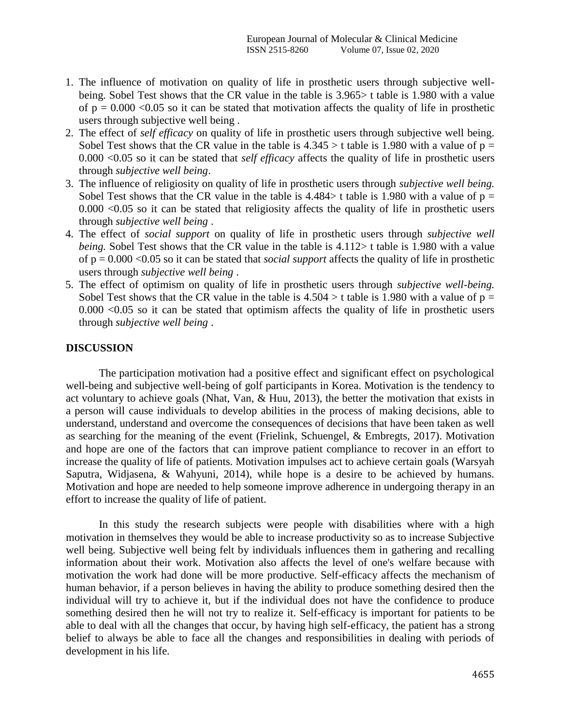- 1. The influence of motivation on quality of life in prosthetic users through subjective wellbeing. Sobel Test shows that the CR value in the table is 3.965> t table is 1.980 with a value of  $p = 0.000 \le 0.05$  so it can be stated that motivation affects the quality of life in prosthetic users through subjective well being .
- 2. The effect of *self efficacy* on quality of life in prosthetic users through subjective well being. Sobel Test shows that the CR value in the table is  $4.345 > t$  table is 1.980 with a value of  $p =$ 0.000 <0.05 so it can be stated that *self efficacy* affects the quality of life in prosthetic users through *subjective well being*.
- 3. The influence of religiosity on quality of life in prosthetic users through *subjective well being.*  Sobel Test shows that the CR value in the table is  $4.484>$  t table is 1.980 with a value of  $p =$ 0.000 <0.05 so it can be stated that religiosity affects the quality of life in prosthetic users through *subjective well being* .
- 4. The effect of *social support* on quality of life in prosthetic users through *subjective well being.* Sobel Test shows that the CR value in the table is 4.112> t table is 1.980 with a value of p = 0.000 <0.05 so it can be stated that *social support* affects the quality of life in prosthetic users through *subjective well being* .
- 5. The effect of optimism on quality of life in prosthetic users through *subjective well-being.*  Sobel Test shows that the CR value in the table is  $4.504 > t$  table is 1.980 with a value of  $p =$  $0.000 \leq 0.05$  so it can be stated that optimism affects the quality of life in prosthetic users through *subjective well being* .

#### **DISCUSSION**

The participation motivation had a positive effect and significant effect on psychological well-being and subjective well-being of golf participants in Korea. Motivation is the tendency to act voluntary to achieve goals (Nhat, Van, & Huu, 2013), the better the motivation that exists in a person will cause individuals to develop abilities in the process of making decisions, able to understand, understand and overcome the consequences of decisions that have been taken as well as searching for the meaning of the event (Frielink, Schuengel, & Embregts, 2017). Motivation and hope are one of the factors that can improve patient compliance to recover in an effort to increase the quality of life of patients. Motivation impulses act to achieve certain goals (Warsyah Saputra, Widjasena, & Wahyuni, 2014), while hope is a desire to be achieved by humans. Motivation and hope are needed to help someone improve adherence in undergoing therapy in an effort to increase the quality of life of patient.

In this study the research subjects were people with disabilities where with a high motivation in themselves they would be able to increase productivity so as to increase Subjective well being. Subjective well being felt by individuals influences them in gathering and recalling information about their work. Motivation also affects the level of one's welfare because with motivation the work had done will be more productive. Self-efficacy affects the mechanism of human behavior, if a person believes in having the ability to produce something desired then the individual will try to achieve it, but if the individual does not have the confidence to produce something desired then he will not try to realize it. Self-efficacy is important for patients to be able to deal with all the changes that occur, by having high self-efficacy, the patient has a strong belief to always be able to face all the changes and responsibilities in dealing with periods of development in his life.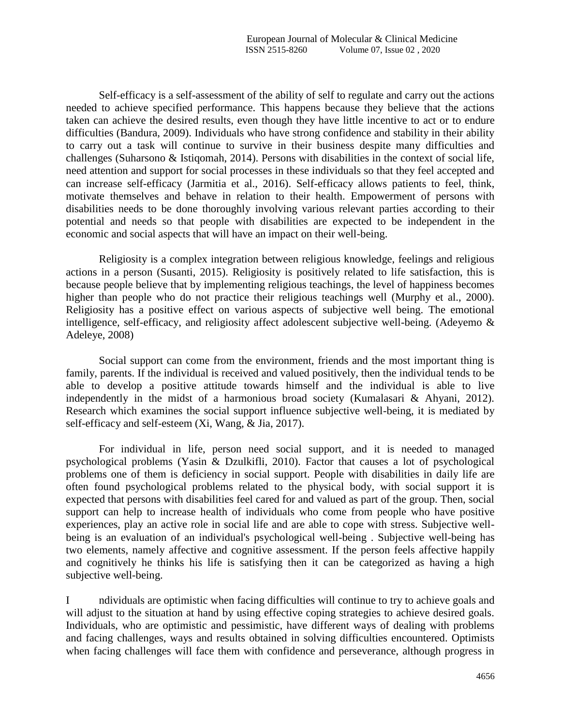Self-efficacy is a self-assessment of the ability of self to regulate and carry out the actions needed to achieve specified performance. This happens because they believe that the actions taken can achieve the desired results, even though they have little incentive to act or to endure difficulties (Bandura, 2009). Individuals who have strong confidence and stability in their ability to carry out a task will continue to survive in their business despite many difficulties and challenges (Suharsono & Istiqomah, 2014). Persons with disabilities in the context of social life, need attention and support for social processes in these individuals so that they feel accepted and can increase self-efficacy (Jarmitia et al., 2016). Self-efficacy allows patients to feel, think, motivate themselves and behave in relation to their health. Empowerment of persons with disabilities needs to be done thoroughly involving various relevant parties according to their potential and needs so that people with disabilities are expected to be independent in the economic and social aspects that will have an impact on their well-being.

Religiosity is a complex integration between religious knowledge, feelings and religious actions in a person (Susanti, 2015). Religiosity is positively related to life satisfaction, this is because people believe that by implementing religious teachings, the level of happiness becomes higher than people who do not practice their religious teachings well (Murphy et al., 2000). Religiosity has a positive effect on various aspects of subjective well being. The emotional intelligence, self-efficacy, and religiosity affect adolescent subjective well-being. (Adeyemo & Adeleye, 2008)

Social support can come from the environment, friends and the most important thing is family, parents. If the individual is received and valued positively, then the individual tends to be able to develop a positive attitude towards himself and the individual is able to live independently in the midst of a harmonious broad society (Kumalasari & Ahyani, 2012). Research which examines the social support influence subjective well-being, it is mediated by self-efficacy and self-esteem (Xi, Wang, & Jia, 2017).

For individual in life, person need social support, and it is needed to managed psychological problems (Yasin & Dzulkifli, 2010). Factor that causes a lot of psychological problems one of them is deficiency in social support. People with disabilities in daily life are often found psychological problems related to the physical body, with social support it is expected that persons with disabilities feel cared for and valued as part of the group. Then, social support can help to increase health of individuals who come from people who have positive experiences, play an active role in social life and are able to cope with stress. Subjective wellbeing is an evaluation of an individual's psychological well-being . Subjective well-being has two elements, namely affective and cognitive assessment. If the person feels affective happily and cognitively he thinks his life is satisfying then it can be categorized as having a high subjective well-being.

I ndividuals are optimistic when facing difficulties will continue to try to achieve goals and will adjust to the situation at hand by using effective coping strategies to achieve desired goals. Individuals, who are optimistic and pessimistic, have different ways of dealing with problems and facing challenges, ways and results obtained in solving difficulties encountered. Optimists when facing challenges will face them with confidence and perseverance, although progress in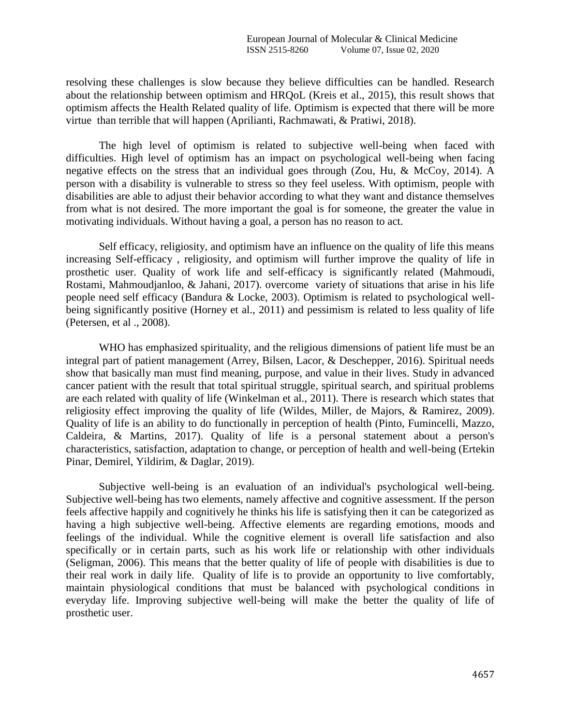resolving these challenges is slow because they believe difficulties can be handled. Research about the relationship between optimism and HRQoL (Kreis et al., 2015), this result shows that optimism affects the Health Related quality of life. Optimism is expected that there will be more virtue than terrible that will happen (Aprilianti, Rachmawati, & Pratiwi, 2018).

The high level of optimism is related to subjective well-being when faced with difficulties. High level of optimism has an impact on psychological well-being when facing negative effects on the stress that an individual goes through (Zou, Hu, & McCoy, 2014). A person with a disability is vulnerable to stress so they feel useless. With optimism, people with disabilities are able to adjust their behavior according to what they want and distance themselves from what is not desired. The more important the goal is for someone, the greater the value in motivating individuals. Without having a goal, a person has no reason to act.

Self efficacy, religiosity, and optimism have an influence on the quality of life this means increasing Self-efficacy , religiosity, and optimism will further improve the quality of life in prosthetic user. Quality of work life and self-efficacy is significantly related (Mahmoudi, Rostami, Mahmoudjanloo, & Jahani, 2017). overcome variety of situations that arise in his life people need self efficacy (Bandura & Locke, 2003). Optimism is related to psychological wellbeing significantly positive (Horney et al., 2011) and pessimism is related to less quality of life (Petersen, et al ., 2008).

WHO has emphasized spirituality, and the religious dimensions of patient life must be an integral part of patient management (Arrey, Bilsen, Lacor, & Deschepper, 2016). Spiritual needs show that basically man must find meaning, purpose, and value in their lives. Study in advanced cancer patient with the result that total spiritual struggle, spiritual search, and spiritual problems are each related with quality of life (Winkelman et al., 2011). There is research which states that religiosity effect improving the quality of life (Wildes, Miller, de Majors, & Ramirez, 2009). Quality of life is an ability to do functionally in perception of health (Pinto, Fumincelli, Mazzo, Caldeira, & Martins, 2017). Quality of life is a personal statement about a person's characteristics, satisfaction, adaptation to change, or perception of health and well-being (Ertekin Pinar, Demirel, Yildirim, & Daglar, 2019).

Subjective well-being is an evaluation of an individual's psychological well-being. Subjective well-being has two elements, namely affective and cognitive assessment. If the person feels affective happily and cognitively he thinks his life is satisfying then it can be categorized as having a high subjective well-being. Affective elements are regarding emotions, moods and feelings of the individual. While the cognitive element is overall life satisfaction and also specifically or in certain parts, such as his work life or relationship with other individuals (Seligman, 2006). This means that the better quality of life of people with disabilities is due to their real work in daily life. Quality of life is to provide an opportunity to live comfortably, maintain physiological conditions that must be balanced with psychological conditions in everyday life. Improving subjective well-being will make the better the quality of life of prosthetic user.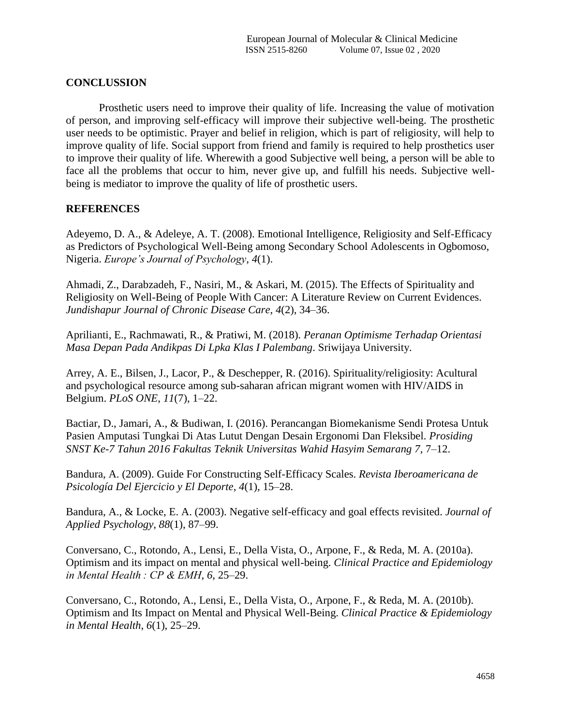## **CONCLUSSION**

Prosthetic users need to improve their quality of life. Increasing the value of motivation of person, and improving self-efficacy will improve their subjective well-being. The prosthetic user needs to be optimistic. Prayer and belief in religion, which is part of religiosity, will help to improve quality of life. Social support from friend and family is required to help prosthetics user to improve their quality of life. Wherewith a good Subjective well being, a person will be able to face all the problems that occur to him, never give up, and fulfill his needs. Subjective wellbeing is mediator to improve the quality of life of prosthetic users.

#### **REFERENCES**

Adeyemo, D. A., & Adeleye, A. T. (2008). Emotional Intelligence, Religiosity and Self-Efficacy as Predictors of Psychological Well-Being among Secondary School Adolescents in Ogbomoso, Nigeria. *Europe's Journal of Psychology*, *4*(1).

Ahmadi, Z., Darabzadeh, F., Nasiri, M., & Askari, M. (2015). The Effects of Spirituality and Religiosity on Well-Being of People With Cancer: A Literature Review on Current Evidences. *Jundishapur Journal of Chronic Disease Care*, *4*(2), 34–36.

Aprilianti, E., Rachmawati, R., & Pratiwi, M. (2018). *Peranan Optimisme Terhadap Orientasi Masa Depan Pada Andikpas Di Lpka Klas I Palembang*. Sriwijaya University.

Arrey, A. E., Bilsen, J., Lacor, P., & Deschepper, R. (2016). Spirituality/religiosity: Acultural and psychological resource among sub-saharan african migrant women with HIV/AIDS in Belgium. *PLoS ONE*, *11*(7), 1–22.

Bactiar, D., Jamari, A., & Budiwan, I. (2016). Perancangan Biomekanisme Sendi Protesa Untuk Pasien Amputasi Tungkai Di Atas Lutut Dengan Desain Ergonomi Dan Fleksibel. *Prosiding SNST Ke-7 Tahun 2016 Fakultas Teknik Universitas Wahid Hasyim Semarang 7*, 7–12.

Bandura, A. (2009). Guide For Constructing Self-Efficacy Scales. *Revista Iberoamericana de Psicología Del Ejercicio y El Deporte*, *4*(1), 15–28.

Bandura, A., & Locke, E. A. (2003). Negative self-efficacy and goal effects revisited. *Journal of Applied Psychology*, *88*(1), 87–99.

Conversano, C., Rotondo, A., Lensi, E., Della Vista, O., Arpone, F., & Reda, M. A. (2010a). Optimism and its impact on mental and physical well-being. *Clinical Practice and Epidemiology in Mental Health : CP & EMH*, *6*, 25–29.

Conversano, C., Rotondo, A., Lensi, E., Della Vista, O., Arpone, F., & Reda, M. A. (2010b). Optimism and Its Impact on Mental and Physical Well-Being. *Clinical Practice & Epidemiology in Mental Health*, *6*(1), 25–29.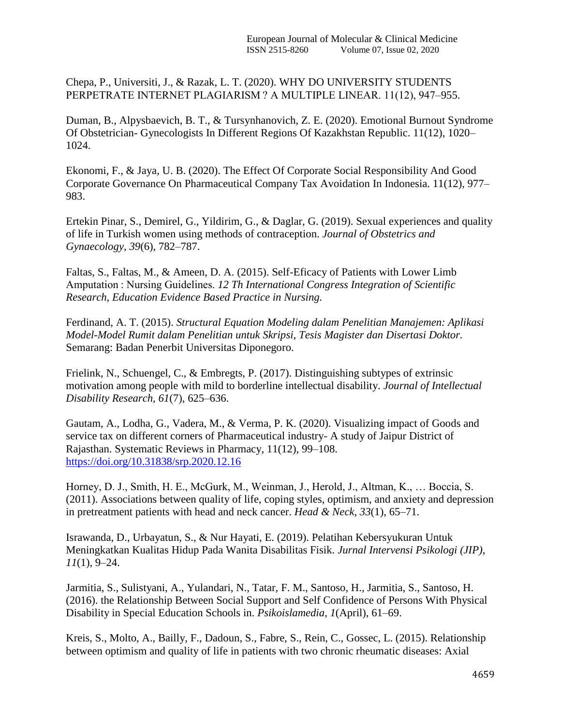Chepa, P., Universiti, J., & Razak, L. T. (2020). WHY DO UNIVERSITY STUDENTS PERPETRATE INTERNET PLAGIARISM ? A MULTIPLE LINEAR. 11(12), 947–955.

Duman, B., Alpysbaevich, B. T., & Tursynhanovich, Z. E. (2020). Emotional Burnout Syndrome Of Obstetrician- Gynecologists In Different Regions Of Kazakhstan Republic. 11(12), 1020– 1024.

Ekonomi, F., & Jaya, U. B. (2020). The Effect Of Corporate Social Responsibility And Good Corporate Governance On Pharmaceutical Company Tax Avoidation In Indonesia. 11(12), 977– 983.

Ertekin Pinar, S., Demirel, G., Yildirim, G., & Daglar, G. (2019). Sexual experiences and quality of life in Turkish women using methods of contraception. *Journal of Obstetrics and Gynaecology*, *39*(6), 782–787.

Faltas, S., Faltas, M., & Ameen, D. A. (2015). Self-Eficacy of Patients with Lower Limb Amputation : Nursing Guidelines. *12 Th International Congress Integration of Scientific Research, Education Evidence Based Practice in Nursing.*

Ferdinand, A. T. (2015). *Structural Equation Modeling dalam Penelitian Manajemen: Aplikasi Model-Model Rumit dalam Penelitian untuk Skripsi, Tesis Magister dan Disertasi Doktor.* Semarang: Badan Penerbit Universitas Diponegoro.

Frielink, N., Schuengel, C., & Embregts, P. (2017). Distinguishing subtypes of extrinsic motivation among people with mild to borderline intellectual disability. *Journal of Intellectual Disability Research*, *61*(7), 625–636.

Gautam, A., Lodha, G., Vadera, M., & Verma, P. K. (2020). Visualizing impact of Goods and service tax on different corners of Pharmaceutical industry- A study of Jaipur District of Rajasthan. Systematic Reviews in Pharmacy, 11(12), 99–108. <https://doi.org/10.31838/srp.2020.12.16>

Horney, D. J., Smith, H. E., McGurk, M., Weinman, J., Herold, J., Altman, K., … Boccia, S. (2011). Associations between quality of life, coping styles, optimism, and anxiety and depression in pretreatment patients with head and neck cancer. *Head & Neck*, *33*(1), 65–71.

Israwanda, D., Urbayatun, S., & Nur Hayati, E. (2019). Pelatihan Kebersyukuran Untuk Meningkatkan Kualitas Hidup Pada Wanita Disabilitas Fisik. *Jurnal Intervensi Psikologi (JIP)*, *11*(1), 9–24.

Jarmitia, S., Sulistyani, A., Yulandari, N., Tatar, F. M., Santoso, H., Jarmitia, S., Santoso, H. (2016). the Relationship Between Social Support and Self Confidence of Persons With Physical Disability in Special Education Schools in. *Psikoislamedia*, *1*(April), 61–69.

Kreis, S., Molto, A., Bailly, F., Dadoun, S., Fabre, S., Rein, C., Gossec, L. (2015). Relationship between optimism and quality of life in patients with two chronic rheumatic diseases: Axial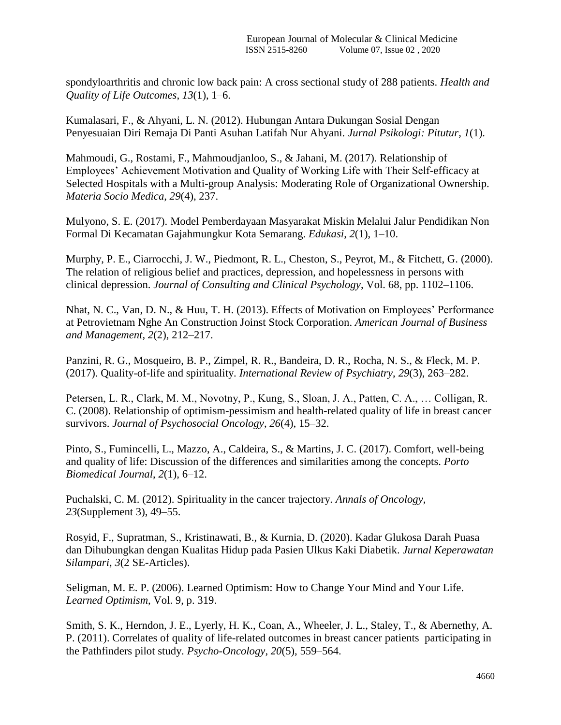spondyloarthritis and chronic low back pain: A cross sectional study of 288 patients. *Health and Quality of Life Outcomes*, *13*(1), 1–6.

Kumalasari, F., & Ahyani, L. N. (2012). Hubungan Antara Dukungan Sosial Dengan Penyesuaian Diri Remaja Di Panti Asuhan Latifah Nur Ahyani. *Jurnal Psikologi: Pitutur*, *1*(1).

Mahmoudi, G., Rostami, F., Mahmoudjanloo, S., & Jahani, M. (2017). Relationship of Employees' Achievement Motivation and Quality of Working Life with Their Self-efficacy at Selected Hospitals with a Multi-group Analysis: Moderating Role of Organizational Ownership. *Materia Socio Medica*, *29*(4), 237.

Mulyono, S. E. (2017). Model Pemberdayaan Masyarakat Miskin Melalui Jalur Pendidikan Non Formal Di Kecamatan Gajahmungkur Kota Semarang. *Edukasi*, *2*(1), 1–10.

Murphy, P. E., Ciarrocchi, J. W., Piedmont, R. L., Cheston, S., Peyrot, M., & Fitchett, G. (2000). The relation of religious belief and practices, depression, and hopelessness in persons with clinical depression. *Journal of Consulting and Clinical Psychology*, Vol. 68, pp. 1102–1106.

Nhat, N. C., Van, D. N., & Huu, T. H. (2013). Effects of Motivation on Employees' Performance at Petrovietnam Nghe An Construction Joinst Stock Corporation. *American Journal of Business and Management*, *2*(2), 212–217.

Panzini, R. G., Mosqueiro, B. P., Zimpel, R. R., Bandeira, D. R., Rocha, N. S., & Fleck, M. P. (2017). Quality-of-life and spirituality. *International Review of Psychiatry*, *29*(3), 263–282.

Petersen, L. R., Clark, M. M., Novotny, P., Kung, S., Sloan, J. A., Patten, C. A., … Colligan, R. C. (2008). Relationship of optimism-pessimism and health-related quality of life in breast cancer survivors. *Journal of Psychosocial Oncology*, *26*(4), 15–32.

Pinto, S., Fumincelli, L., Mazzo, A., Caldeira, S., & Martins, J. C. (2017). Comfort, well-being and quality of life: Discussion of the differences and similarities among the concepts. *Porto Biomedical Journal*, *2*(1), 6–12.

Puchalski, C. M. (2012). Spirituality in the cancer trajectory. *Annals of Oncology*, *23*(Supplement 3), 49–55.

Rosyid, F., Supratman, S., Kristinawati, B., & Kurnia, D. (2020). Kadar Glukosa Darah Puasa dan Dihubungkan dengan Kualitas Hidup pada Pasien Ulkus Kaki Diabetik. *Jurnal Keperawatan Silampari*, *3*(2 SE-Articles).

Seligman, M. E. P. (2006). Learned Optimism: How to Change Your Mind and Your Life. *Learned Optimism*, Vol. 9, p. 319.

Smith, S. K., Herndon, J. E., Lyerly, H. K., Coan, A., Wheeler, J. L., Staley, T., & Abernethy, A. P. (2011). Correlates of quality of life-related outcomes in breast cancer patients participating in the Pathfinders pilot study. *Psycho-Oncology*, *20*(5), 559–564.